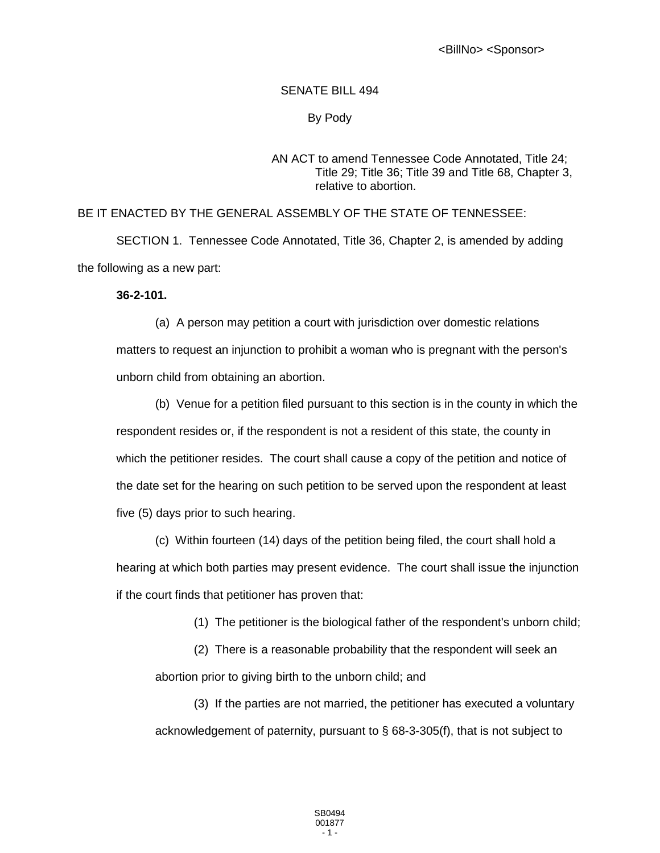#### SENATE BILL 494

# By Pody

### AN ACT to amend Tennessee Code Annotated, Title 24; Title 29; Title 36; Title 39 and Title 68, Chapter 3, relative to abortion.

## BE IT ENACTED BY THE GENERAL ASSEMBLY OF THE STATE OF TENNESSEE:

SECTION 1. Tennessee Code Annotated, Title 36, Chapter 2, is amended by adding the following as a new part:

### **36-2-101.**

(a) A person may petition a court with jurisdiction over domestic relations matters to request an injunction to prohibit a woman who is pregnant with the person's unborn child from obtaining an abortion.

(b) Venue for a petition filed pursuant to this section is in the county in which the respondent resides or, if the respondent is not a resident of this state, the county in which the petitioner resides. The court shall cause a copy of the petition and notice of the date set for the hearing on such petition to be served upon the respondent at least five (5) days prior to such hearing.

(c) Within fourteen (14) days of the petition being filed, the court shall hold a hearing at which both parties may present evidence. The court shall issue the injunction if the court finds that petitioner has proven that:

- (1) The petitioner is the biological father of the respondent's unborn child;
- (2) There is a reasonable probability that the respondent will seek an

abortion prior to giving birth to the unborn child; and

(3) If the parties are not married, the petitioner has executed a voluntary acknowledgement of paternity, pursuant to § 68-3-305(f), that is not subject to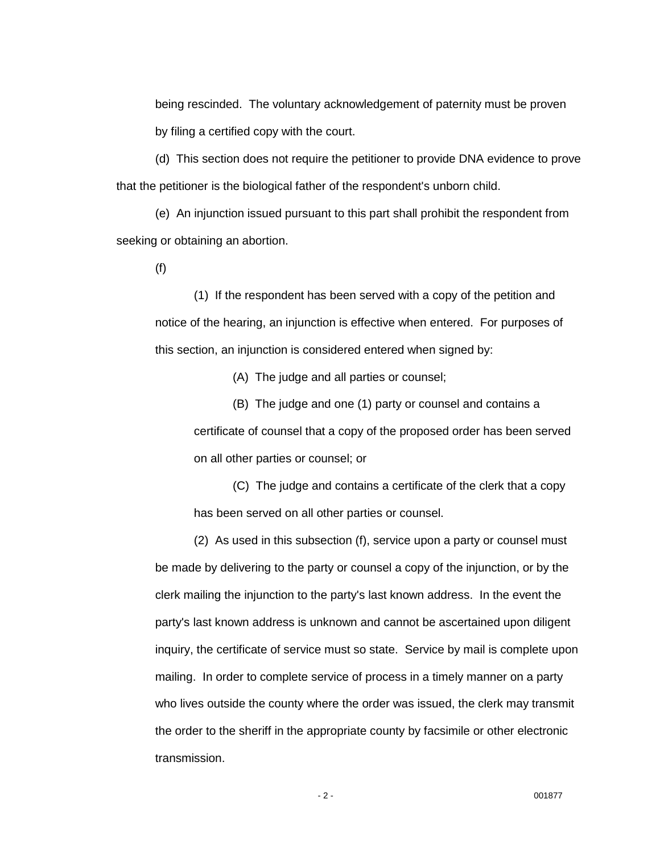being rescinded. The voluntary acknowledgement of paternity must be proven by filing a certified copy with the court.

(d) This section does not require the petitioner to provide DNA evidence to prove that the petitioner is the biological father of the respondent's unborn child.

(e) An injunction issued pursuant to this part shall prohibit the respondent from seeking or obtaining an abortion.

(f)

(1) If the respondent has been served with a copy of the petition and notice of the hearing, an injunction is effective when entered. For purposes of this section, an injunction is considered entered when signed by:

(A) The judge and all parties or counsel;

(B) The judge and one (1) party or counsel and contains a certificate of counsel that a copy of the proposed order has been served on all other parties or counsel; or

(C) The judge and contains a certificate of the clerk that a copy has been served on all other parties or counsel.

(2) As used in this subsection (f), service upon a party or counsel must be made by delivering to the party or counsel a copy of the injunction, or by the clerk mailing the injunction to the party's last known address. In the event the party's last known address is unknown and cannot be ascertained upon diligent inquiry, the certificate of service must so state. Service by mail is complete upon mailing. In order to complete service of process in a timely manner on a party who lives outside the county where the order was issued, the clerk may transmit the order to the sheriff in the appropriate county by facsimile or other electronic transmission.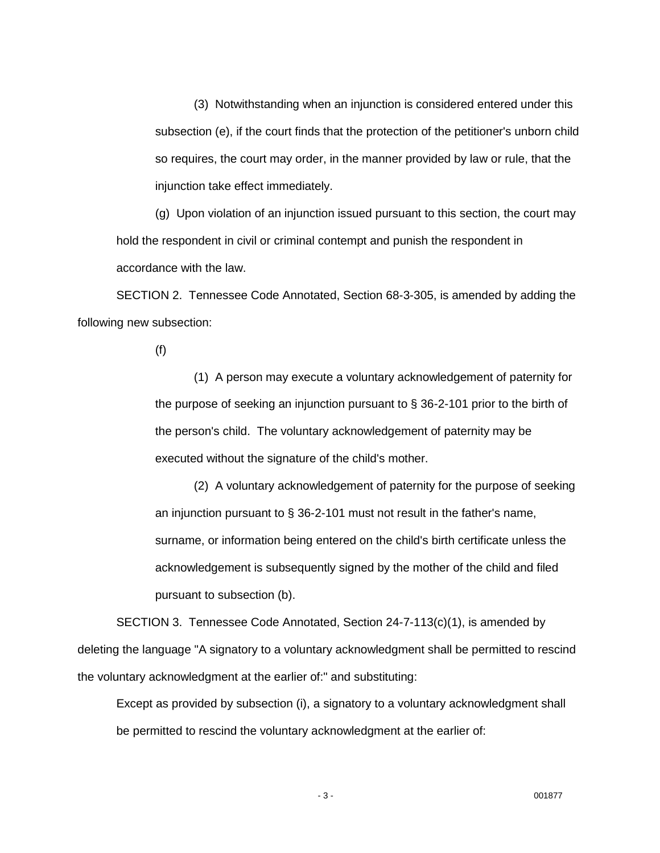(3) Notwithstanding when an injunction is considered entered under this subsection (e), if the court finds that the protection of the petitioner's unborn child so requires, the court may order, in the manner provided by law or rule, that the injunction take effect immediately.

(g) Upon violation of an injunction issued pursuant to this section, the court may hold the respondent in civil or criminal contempt and punish the respondent in accordance with the law.

SECTION 2. Tennessee Code Annotated, Section 68-3-305, is amended by adding the following new subsection:

(f)

(1) A person may execute a voluntary acknowledgement of paternity for the purpose of seeking an injunction pursuant to § 36-2-101 prior to the birth of the person's child. The voluntary acknowledgement of paternity may be executed without the signature of the child's mother.

(2) A voluntary acknowledgement of paternity for the purpose of seeking an injunction pursuant to § 36-2-101 must not result in the father's name, surname, or information being entered on the child's birth certificate unless the acknowledgement is subsequently signed by the mother of the child and filed pursuant to subsection (b).

SECTION 3. Tennessee Code Annotated, Section 24-7-113(c)(1), is amended by deleting the language "A signatory to a voluntary acknowledgment shall be permitted to rescind the voluntary acknowledgment at the earlier of:" and substituting:

Except as provided by subsection (i), a signatory to a voluntary acknowledgment shall be permitted to rescind the voluntary acknowledgment at the earlier of: